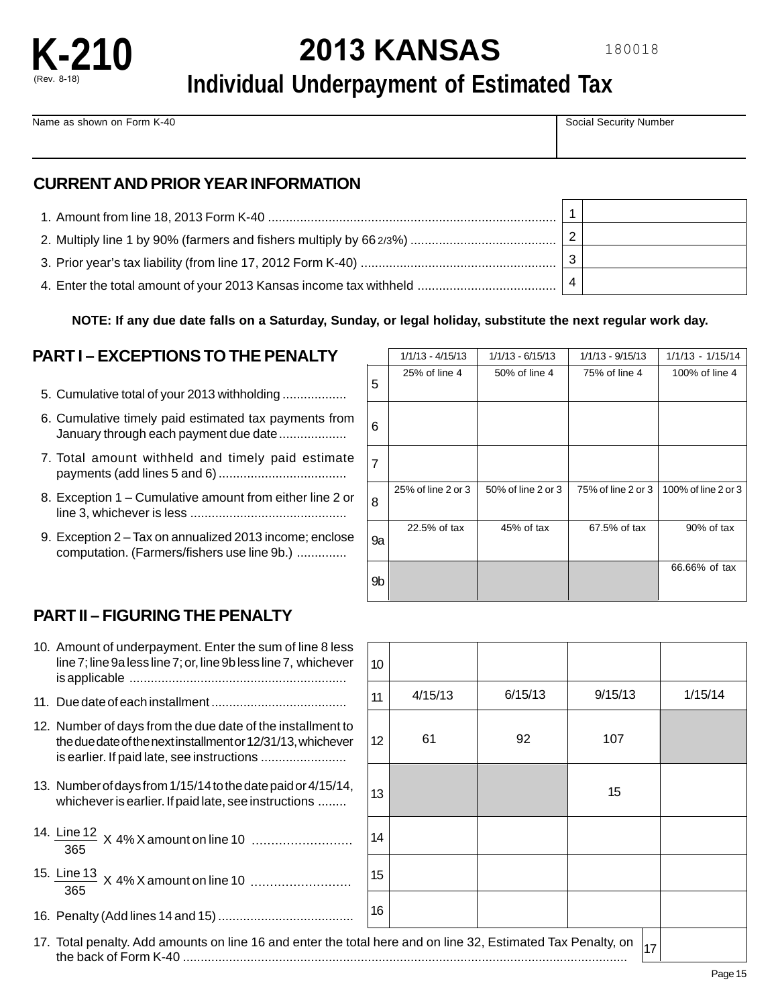

# **2013 KANSAS**

## **Individual Underpayment of Estimated Tax**

Name as shown on Form K-40 Social Security Number

## **CURRENT AND PRIOR YEAR INFORMATION**

**NOTE: If any due date falls on a Saturday, Sunday, or legal holiday, substitute the next regular work day.** 

## **PART I – EXCEPTIONS TO THE PENALTY**

- 5. Cumulative total of your 2013 withholding ..................
- 6. Cumulative timely paid estimated tax payments from January through each payment due date..................
- 7. Total amount withheld and timely paid estimate payments (add lines 5 and 6) ....................................
- 8. Exception 1 Cumulative amount from either line 2 or line 3, whichever is less ............................................
- 9. Exception 2 Tax on annualized 2013 income; enclose computation. (Farmers/fishers use line 9b.) ..............

|    | $1/1/13 - 4/15/13$ | $1/1/13 - 6/15/13$ | 1/1/13 - 9/15/13   | 1/1/13 - 1/15/14    |
|----|--------------------|--------------------|--------------------|---------------------|
| 5  | 25% of line 4      | 50% of line 4      | 75% of line 4      | 100% of line 4      |
| 6  |                    |                    |                    |                     |
| 7  |                    |                    |                    |                     |
| 8  | 25% of line 2 or 3 | 50% of line 2 or 3 | 75% of line 2 or 3 | 100% of line 2 or 3 |
| 9a | 22.5% of tax       | 45% of tax         | 67.5% of tax       | 90% of tax          |
| 9b |                    |                    |                    | 66.66% of tax       |

## **PART II – FIGURING THE PENALTY**

| 10. Amount of underpayment. Enter the sum of line 8 less<br>line 7; line 9a less line 7; or, line 9b less line 7, whichever                                             |
|-------------------------------------------------------------------------------------------------------------------------------------------------------------------------|
|                                                                                                                                                                         |
| 12. Number of days from the due date of the installment to<br>the due date of the next installment or 12/31/13, whichever<br>is earlier. If paid late, see instructions |
| 13. Number of days from 1/15/14 to the date paid or 4/15/14,<br>whichever is earlier. If paid late, see instructions                                                    |
| 14. Line 12 X 4% X amount on line 10<br>365                                                                                                                             |
| 15. Line 13 X 4% X amount on line 10<br>365                                                                                                                             |
|                                                                                                                                                                         |
| 17 Total penalty Add amounts on line 16 and enter the total                                                                                                             |

| 10                                                     |         |         |         |  |         |
|--------------------------------------------------------|---------|---------|---------|--|---------|
| 11                                                     | 4/15/13 | 6/15/13 | 9/15/13 |  | 1/15/14 |
| 12                                                     | 61      | 92      | 107     |  |         |
| 13                                                     |         |         | 15      |  |         |
| 14                                                     |         |         |         |  |         |
| 15                                                     |         |         |         |  |         |
| 16                                                     |         |         |         |  |         |
| I here and on line 32, Estimated Tax Penalty, on<br>17 |         |         |         |  |         |

17. Total penalty. Add amounts on line 16 and enter the total here and on line 32, Estimated Tax Penalty, on the back of Form K-40 .............................................................................................................................